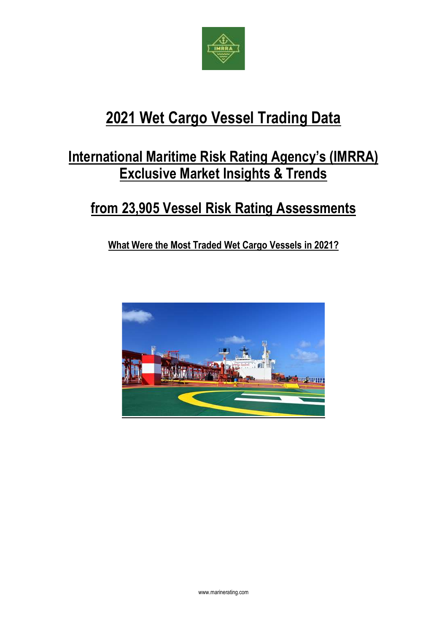

# **2021 Wet Cargo Vessel Trading Data**

## **International Maritime Risk Rating Agency's (IMRRA) Exclusive Market Insights & Trends**

## **from 23,905 Vessel Risk Rating Assessments**

**What Were the Most Traded Wet Cargo Vessels in 2021?**

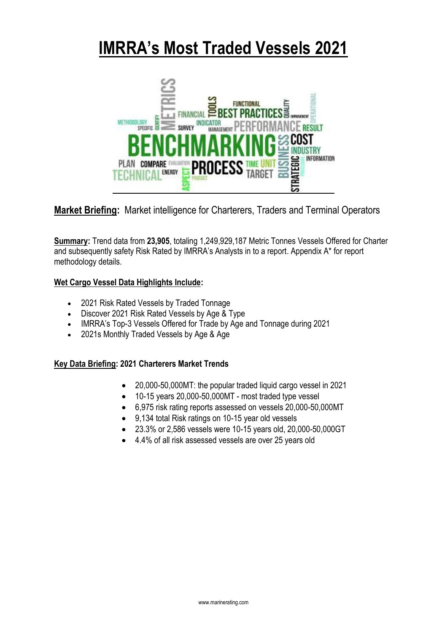# **IMRRA's Most Traded Vessels 2021**



**Market Briefing:** Market intelligence for Charterers, Traders and Terminal Operators

**Summary:** Trend data from **23,905**, totaling 1,249,929,187 Metric Tonnes Vessels Offered for Charter and subsequently safety Risk Rated by IMRRA's Analysts in to a report. Appendix A\* for report methodology details.

## **Wet Cargo Vessel Data Highlights Include:**

- 2021 Risk Rated Vessels by Traded Tonnage
- Discover 2021 Risk Rated Vessels by Age & Type
- IMRRA's Top-3 Vessels Offered for Trade by Age and Tonnage during 2021
- 2021s Monthly Traded Vessels by Age & Age

## **Key Data Briefing: 2021 Charterers Market Trends**

- 20,000-50,000MT: the popular traded liquid cargo vessel in 2021
- 10-15 years 20,000-50,000MT most traded type vessel
- 6,975 risk rating reports assessed on vessels 20,000-50,000MT
- 9,134 total Risk ratings on 10-15 year old vessels
- 23.3% or 2,586 vessels were 10-15 years old, 20,000-50,000GT
- 4.4% of all risk assessed vessels are over 25 years old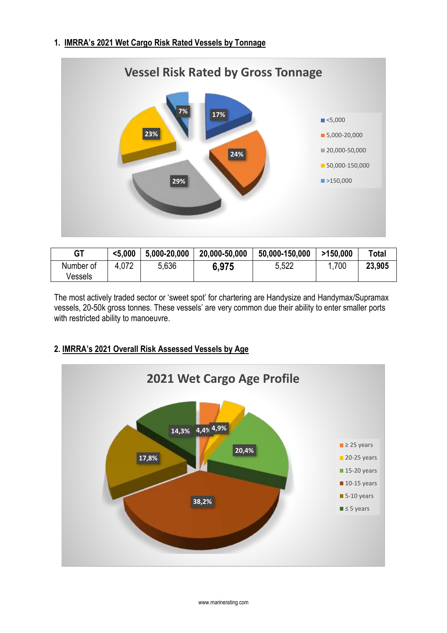## **1. IMRRA's 2021 Wet Cargo Risk Rated Vessels by Tonnage**



| <b>GT</b>            | $5.000$ | 5,000-20,000 | 20,000-50,000 | 50,000-150,000 | >150,000 | Total  |
|----------------------|---------|--------------|---------------|----------------|----------|--------|
| Number of<br>Vessels | 4,072   | 5,636        | 6.975         | 5,522          | 700      | 23,905 |

The most actively traded sector or 'sweet spot' for chartering are Handysize and Handymax/Supramax vessels, 20-50k gross tonnes. These vessels' are very common due their ability to enter smaller ports with restricted ability to manoeuvre.

## **2. IMRRA's 2021 Overall Risk Assessed Vessels by Age**

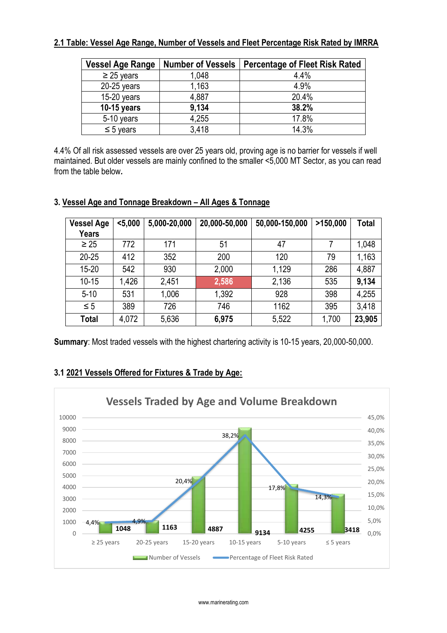## **2.1 Table: Vessel Age Range, Number of Vessels and Fleet Percentage Risk Rated by IMRRA**

| <b>Vessel Age Range</b> | <b>Number of Vessels</b> | <b>Percentage of Fleet Risk Rated</b> |
|-------------------------|--------------------------|---------------------------------------|
| $\geq$ 25 years         | 1,048                    | 4.4%                                  |
| $20-25$ years           | 1,163                    | 4.9%                                  |
| $15-20$ years           | 4,887                    | 20.4%                                 |
| 10-15 years             | 9,134                    | 38.2%                                 |
| 5-10 years              | 4,255                    | 17.8%                                 |
| $\leq$ 5 years          | 3,418                    | 14.3%                                 |

4.4% Of all risk assessed vessels are over 25 years old, proving age is no barrier for vessels if well maintained. But older vessels are mainly confined to the smaller <5,000 MT Sector, as you can read from the table below*.*

## **3. Vessel Age and Tonnage Breakdown – All Ages & Tonnage**

| <b>Vessel Age</b><br><b>Years</b> | $5,000$ | 5,000-20,000 | 20,000-50,000 | 50,000-150,000 | >150,000 | Total  |
|-----------------------------------|---------|--------------|---------------|----------------|----------|--------|
| $\geq 25$                         | 772     | 171          | 51            | 47             |          | 1,048  |
| $20 - 25$                         | 412     | 352          | 200           | 120            | 79       | 1,163  |
| $15 - 20$                         | 542     | 930          | 2,000         | 1,129          | 286      | 4,887  |
| $10 - 15$                         | 1,426   | 2,451        | 2,586         | 2,136          | 535      | 9,134  |
| $5 - 10$                          | 531     | 1,006        | 1,392         | 928            | 398      | 4,255  |
| $\leq 5$                          | 389     | 726          | 746           | 1162           | 395      | 3,418  |
| <b>Total</b>                      | 4,072   | 5,636        | 6,975         | 5,522          | 1,700    | 23,905 |

**Summary**: Most traded vessels with the highest chartering activity is 10-15 years, 20,000-50,000.

## **3.1 2021 Vessels Offered for Fixtures & Trade by Age:**

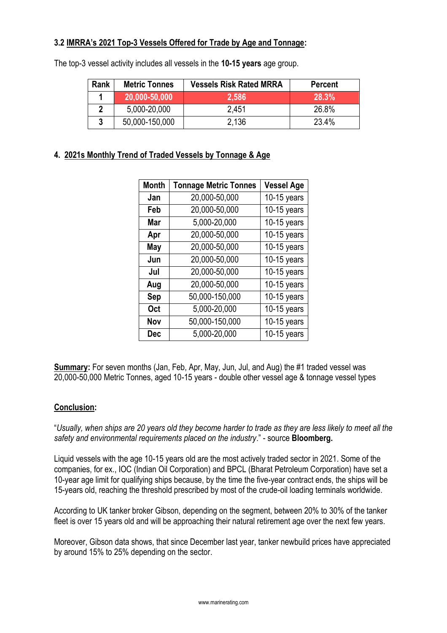## **3.2 IMRRA's 2021 Top-3 Vessels Offered for Trade by Age and Tonnage:**

| Rank | <b>Metric Tonnes</b> | <b>Vessels Risk Rated MRRA</b> | <b>Percent</b> |
|------|----------------------|--------------------------------|----------------|
|      | 20,000-50,000        | 2,586                          | 28.3%          |
|      | 5,000-20,000         | 2.451                          | 26.8%          |
|      | 50,000-150,000       | 2.136                          | 23.4%          |

The top-3 vessel activity includes all vessels in the **10-15 years** age group.

## **4. 2021s Monthly Trend of Traded Vessels by Tonnage & Age**

| <b>Month</b> | <b>Tonnage Metric Tonnes</b> | <b>Vessel Age</b> |
|--------------|------------------------------|-------------------|
| Jan          | 20,000-50,000                | 10-15 years       |
| Feb          | 20,000-50,000                | 10-15 years       |
| Mar          | 5,000-20,000                 | $10-15$ years     |
| Apr          | 20,000-50,000                | 10-15 years       |
| May          | 20,000-50,000                | $10-15$ years     |
| Jun          | 20,000-50,000                | $10-15$ years     |
| Jul          | 20,000-50,000                | $10-15$ years     |
| Aug          | 20,000-50,000                | $10-15$ years     |
| Sep          | 50,000-150,000               | $10-15$ years     |
| <b>Oct</b>   | 5,000-20,000                 | $10-15$ years     |
| Nov          | 50,000-150,000               | $10-15$ years     |
| <b>Dec</b>   | 5,000-20,000                 | $10-15$ years     |

**Summary:** For seven months (Jan, Feb, Apr, May, Jun, Jul, and Aug) the #1 traded vessel was 20,000-50,000 Metric Tonnes, aged 10-15 years - double other vessel age & tonnage vessel types

## **Conclusion:**

"*Usually, when ships are 20 years old they become harder to trade as they are less likely to meet all the safety and environmental requirements placed on the industry*." - source **Bloomberg.**

Liquid vessels with the age 10-15 years old are the most actively traded sector in 2021. Some of the companies, for ex., IOC (Indian Oil Corporation) and BPCL (Bharat Petroleum Corporation) have set a 10-year age limit for qualifying ships because, by the time the five-year contract ends, the ships will be 15-years old, reaching the threshold prescribed by most of the crude-oil loading terminals worldwide.

According to UK tanker broker Gibson, depending on the segment, between 20% to 30% of the tanker fleet is over 15 years old and will be approaching their natural retirement age over the next few years.

Moreover, Gibson data shows, that since December last year, tanker newbuild prices have appreciated by around 15% to 25% depending on the sector.